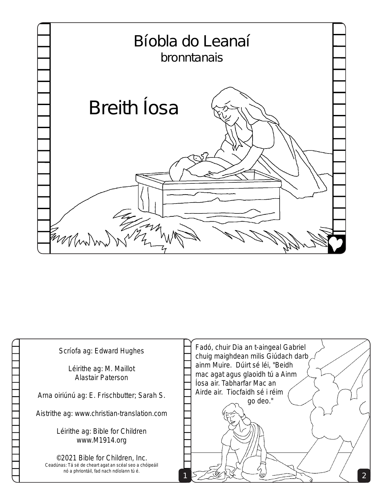

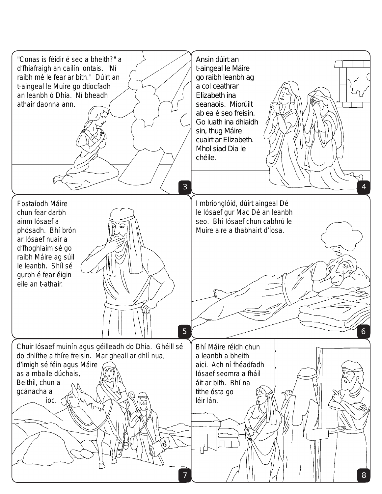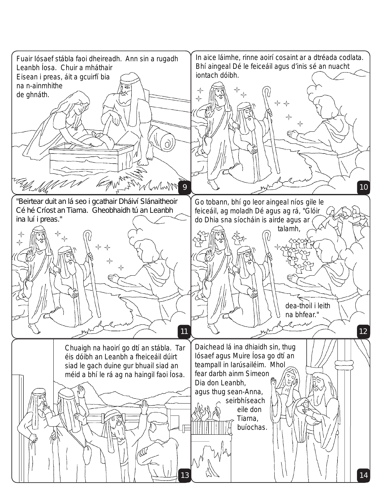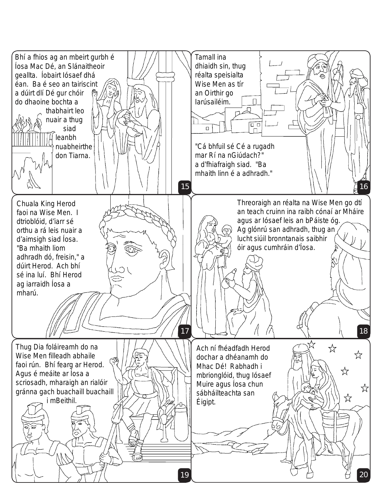